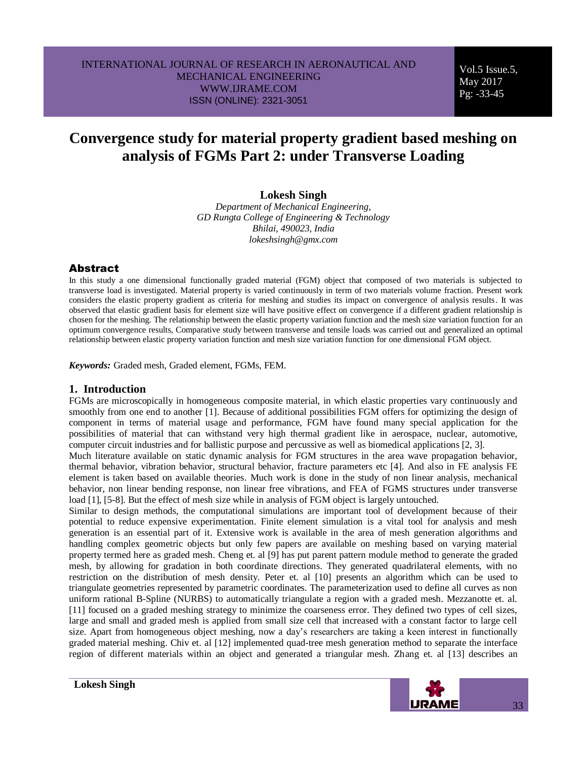Vol.5 Issue.5, May 2017 Pg: -33-45

# **Convergence study for material property gradient based meshing on analysis of FGMs Part 2: under Transverse Loading**

# **Lokesh Singh**

*Department of Mechanical Engineering, GD Rungta College of Engineering & Technology Bhilai, 490023, India lokeshsingh@gmx.com*

### **Abstract**

In this study a one dimensional functionally graded material (FGM) object that composed of two materials is subjected to transverse load is investigated. Material property is varied continuously in term of two materials volume fraction. Present work considers the elastic property gradient as criteria for meshing and studies its impact on convergence of analysis results. It was observed that elastic gradient basis for element size will have positive effect on convergence if a different gradient relationship is chosen for the meshing. The relationship between the elastic property variation function and the mesh size variation function for an optimum convergence results, Comparative study between transverse and tensile loads was carried out and generalized an optimal relationship between elastic property variation function and mesh size variation function for one dimensional FGM object.

*Keywords:* Graded mesh, Graded element, FGMs, FEM.

### **1. Introduction**

FGMs are microscopically in homogeneous composite material, in which elastic properties vary continuously and smoothly from one end to another [1]. Because of additional possibilities FGM offers for optimizing the design of component in terms of material usage and performance, FGM have found many special application for the possibilities of material that can withstand very high thermal gradient like in aerospace, nuclear, automotive, computer circuit industries and for ballistic purpose and percussive as well as biomedical applications [2, 3].

Much literature available on static dynamic analysis for FGM structures in the area wave propagation behavior, thermal behavior, vibration behavior, structural behavior, fracture parameters etc [4]. And also in FE analysis FE element is taken based on available theories. Much work is done in the study of non linear analysis, mechanical behavior, non linear bending response, non linear free vibrations, and FEA of FGMS structures under transverse load [1], [5-8]. But the effect of mesh size while in analysis of FGM object is largely untouched.

Similar to design methods, the computational simulations are important tool of development because of their potential to reduce expensive experimentation. Finite element simulation is a vital tool for analysis and mesh generation is an essential part of it. Extensive work is available in the area of mesh generation algorithms and handling complex geometric objects but only few papers are available on meshing based on varying material property termed here as graded mesh. Cheng et. al [9] has put parent pattern module method to generate the graded mesh, by allowing for gradation in both coordinate directions. They generated quadrilateral elements, with no restriction on the distribution of mesh density. Peter et. al [10] presents an algorithm which can be used to triangulate geometries represented by parametric coordinates. The parameterization used to define all curves as non uniform rational B-Spline (NURBS) to automatically triangulate a region with a graded mesh. Mezzanotte et. al. [11] focused on a graded meshing strategy to minimize the coarseness error. They defined two types of cell sizes, large and small and graded mesh is applied from small size cell that increased with a constant factor to large cell size. Apart from homogeneous object meshing, now a day's researchers are taking a keen interest in functionally graded material meshing. Chiv et. al [12] implemented quad-tree mesh generation method to separate the interface region of different materials within an object and generated a triangular mesh. Zhang et. al [13] describes an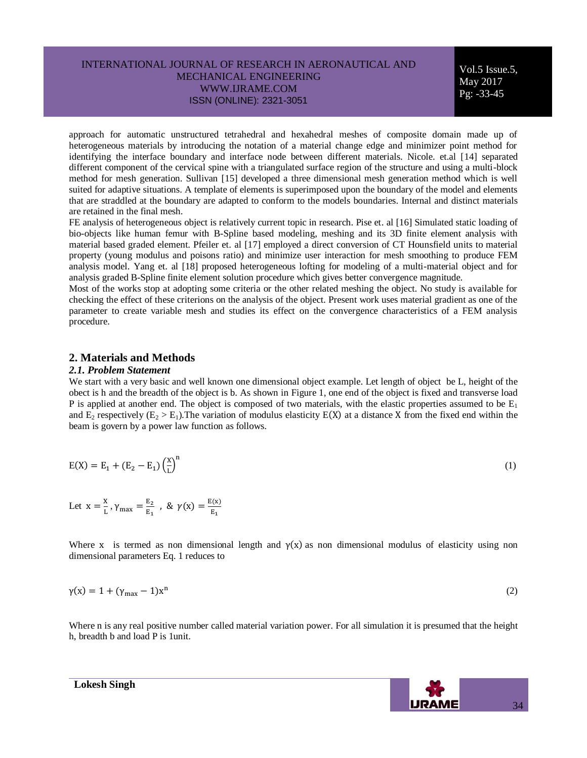Vol.5 Issue.5, May 2017 Pg: -33-45

approach for automatic unstructured tetrahedral and hexahedral meshes of composite domain made up of heterogeneous materials by introducing the notation of a material change edge and minimizer point method for identifying the interface boundary and interface node between different materials. Nicole. et.al [14] separated different component of the cervical spine with a triangulated surface region of the structure and using a multi-block method for mesh generation. Sullivan [15] developed a three dimensional mesh generation method which is well suited for adaptive situations. A template of elements is superimposed upon the boundary of the model and elements that are straddled at the boundary are adapted to conform to the models boundaries. Internal and distinct materials are retained in the final mesh.

FE analysis of heterogeneous object is relatively current topic in research. Pise et. al [16] Simulated static loading of bio-objects like human femur with B-Spline based modeling, meshing and its 3D finite element analysis with material based graded element. Pfeiler et. al [17] employed a direct conversion of CT Hounsfield units to material property (young modulus and poisons ratio) and minimize user interaction for mesh smoothing to produce FEM analysis model. Yang et. al [18] proposed heterogeneous lofting for modeling of a multi-material object and for analysis graded B-Spline finite element solution procedure which gives better convergence magnitude.

Most of the works stop at adopting some criteria or the other related meshing the object. No study is available for checking the effect of these criterions on the analysis of the object. Present work uses material gradient as one of the parameter to create variable mesh and studies its effect on the convergence characteristics of a FEM analysis procedure.

### **2. Materials and Methods**

#### *2.1. Problem Statement*

We start with a very basic and well known one dimensional object example. Let length of object be L, height of the obect is h and the breadth of the object is b. As shown in Figure 1, one end of the object is fixed and transverse load P is applied at another end. The object is composed of two materials, with the elastic properties assumed to be  $E_1$ and  $E_2$  respectively ( $E_2 > E_1$ ). The variation of modulus elasticity  $E(X)$  at a distance X from the fixed end within the beam is govern by a power law function as follows.

$$
E(X) = E_1 + (E_2 - E_1) \left(\frac{X}{L}\right)^n
$$
 (1)

Let 
$$
x = \frac{x}{L}
$$
,  $\gamma_{max} = \frac{E_2}{E_1}$ , &  $\gamma(x) = \frac{E(x)}{E_1}$ 

Where x is termed as non dimensional length and  $\gamma(x)$  as non dimensional modulus of elasticity using non dimensional parameters Eq. 1 reduces to

$$
\gamma(x) = 1 + (\gamma_{\text{max}} - 1)x^{n} \tag{2}
$$

Where n is any real positive number called material variation power. For all simulation it is presumed that the height h, breadth b and load P is 1unit.

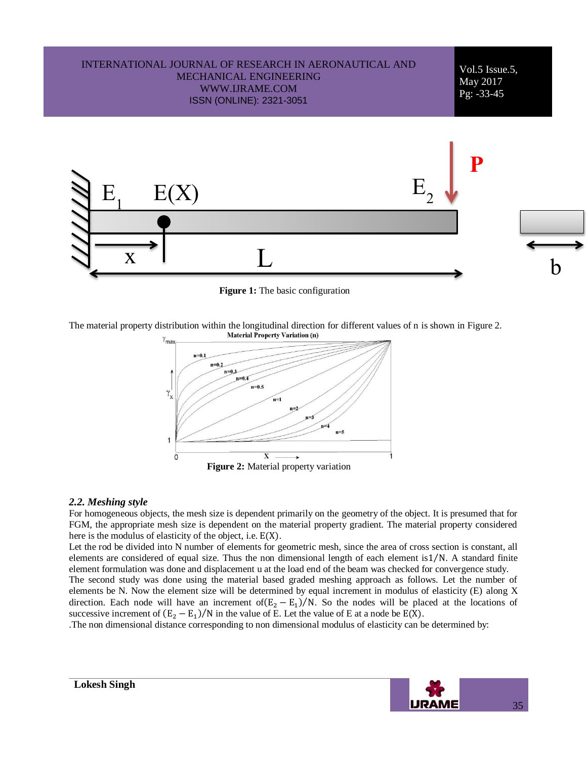

**Figure 1:** The basic configuration

The material property distribution within the longitudinal direction for different values of n is shown in Figure 2.



#### *2.2. Meshing style*

For homogeneous objects, the mesh size is dependent primarily on the geometry of the object. It is presumed that for FGM, the appropriate mesh size is dependent on the material property gradient. The material property considered here is the modulus of elasticity of the object, i.e.  $E(X)$ .

Let the rod be divided into N number of elements for geometric mesh, since the area of cross section is constant, all elements are considered of equal size. Thus the non dimensional length of each element is 1/N. A standard finite element formulation was done and displacement u at the load end of the beam was checked for convergence study.

The second study was done using the material based graded meshing approach as follows. Let the number of elements be N. Now the element size will be determined by equal increment in modulus of elasticity (E) along X direction. Each node will have an increment of  $(E_2 - E_1)/N$ . So the nodes will be placed at the locations of successive increment of  $(E_2 - E_1)/N$  in the value of E. Let the value of E at a node be  $E(X)$ .

.The non dimensional distance corresponding to non dimensional modulus of elasticity can be determined by:

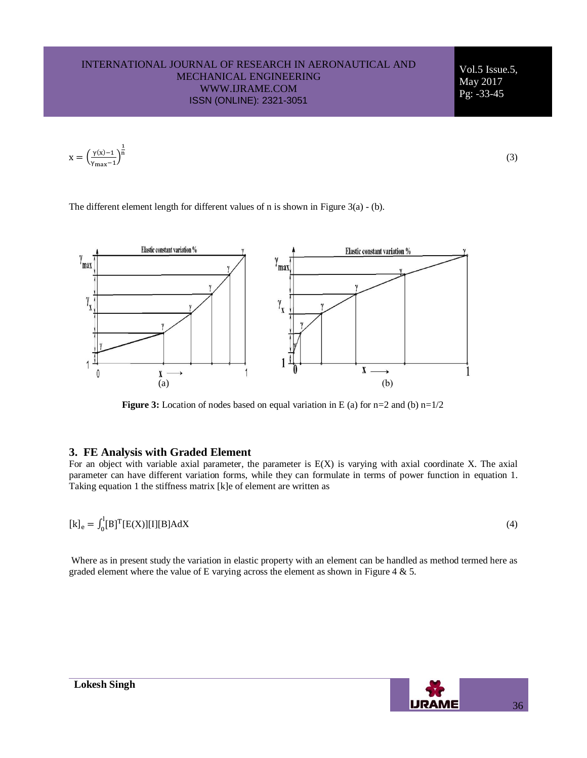Vol.5 Issue.5, May 2017 Pg: -33-45

$$
x=\left(\frac{\gamma(x)-1}{\gamma_{\max}-1}\right)^{\!\!\frac{1}{n}}
$$

(3)

The different element length for different values of n is shown in Figure 3(a) - (b).



**Figure 3:** Location of nodes based on equal variation in E (a) for n=2 and (b) n=1/2

# **3. FE Analysis with Graded Element**

For an object with variable axial parameter, the parameter is E(X) is varying with axial coordinate X. The axial parameter can have different variation forms, while they can formulate in terms of power function in equation 1. Taking equation 1 the stiffness matrix [k]e of element are written as

$$
[k]_e = \int_0^l [B]^T [E(X)][I][B] AdX \tag{4}
$$

Where as in present study the variation in elastic property with an element can be handled as method termed here as graded element where the value of E varying across the element as shown in Figure 4  $\&$  5.

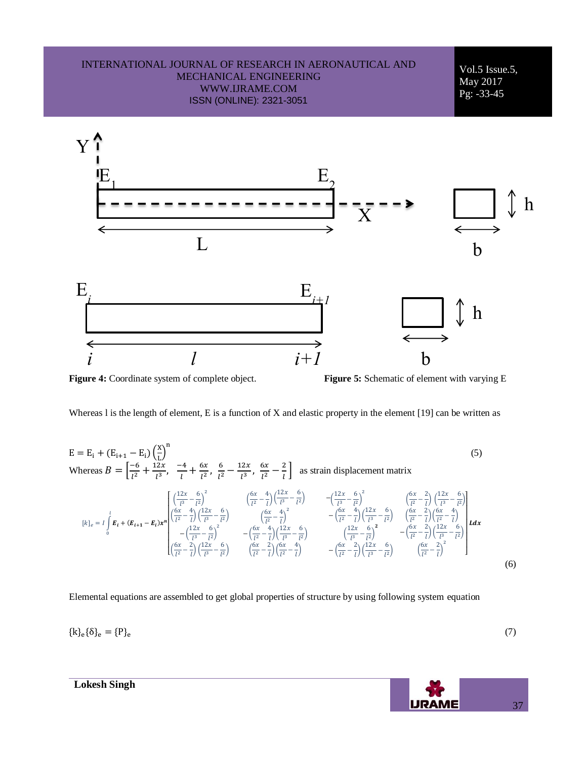

**Figure 4:** Coordinate system of complete object. **Figure 5:** Schematic of element with varying E

Whereas I is the length of element, E is a function of X and elastic property in the element [19] can be written as

 $E = E_i + (E_{i+1} - E_i) \left(\frac{x}{t}\right)$  $\left(\frac{x}{L}\right)^n$  (5) Whereas  $B = \left[\frac{1}{\mu}\right]$  $l^2$  $\mathbf 1$  $rac{2x}{l^3}, \frac{-}{l}$  $\frac{-4}{l} + \frac{6}{l}$  $\frac{6x}{l^2}$ ,  $\frac{6}{l^2}$  $l^2$  $\mathbf{1}$  $rac{2x}{l^3}, \frac{6}{l}$  $l^2$ 2  $\frac{2}{l}$  as strain displacement matrix  $[k]_e = I \mid E_i + (E_{i+1} - E_i)x^n$  $\begin{bmatrix} \frac{1}{\sqrt{2}} \\ \frac{6x}{l^2} \end{bmatrix}$  $\frac{2x}{l^3} - \frac{6}{l^2}$  $\left(\frac{6}{l^2}\right)^2$   $\left(\frac{6}{l}\right)$  $\frac{5x}{l^2} - \frac{4}{l}$  $\frac{4}{l}$  $\left(\frac{1}{l}\right)$  $\frac{2x}{l^3} - \frac{6}{l^2}$  $\frac{6}{l^2}$ )  $-\left(\frac{1}{l}\right)$  $\frac{2x}{l^3} - \frac{6}{l^2}$  $\left(\frac{6}{l^2}\right)^2$   $\left(\frac{6}{l}\right)$  $\frac{6x}{l^2} - \frac{2}{l}$  $\left(\frac{2}{l}\right)\left(\frac{1}{l}\right)$  $\frac{2x}{l^3} - \frac{6}{l^2}$  $\frac{1}{l^2}$  $\left(\frac{6}{7}\right)$  $\frac{6x}{l^2} - \frac{4}{l}$  $\binom{4}{l}$  $\binom{1}{l}$  $\frac{2x}{l^3} - \frac{6}{l^2}$  $\frac{1}{l^2}$  $-({}^{1}$  $\frac{2x}{l^3} - \frac{6}{l^2}$  $\left(\frac{6}{l^2}\right)^2$  $\left(\frac{6}{7}\right)$  $\frac{6x}{l^2} - \frac{2}{l}$  $\binom{2}{l}$  $\binom{1}{l}$  $\frac{2x}{l^3} - \frac{6}{l^2}$  $\frac{1}{l^2}$  $\left(\frac{6}{7}\right)$  $\frac{5x}{l^2} - \frac{4}{l}$  $\left(\frac{4}{l}\right)^2$  $-({\frac{6}{7}}$  $\frac{5x}{l^2} - \frac{4}{l}$  $\binom{4}{l}$  $\binom{1}{l}$  $\frac{2x}{l^3} - \frac{6}{l^2}$  $\frac{1}{l^2}$  $\left(\frac{6}{7}\right)$  $\frac{6x}{l^2} - \frac{2}{l}$  $\left(\frac{2}{l}\right)\left(\frac{6}{l}\right)$  $\frac{6x}{l^2} - \frac{4}{l}$  $\frac{1}{l})$  $-({\frac{6}{7}}$  $\frac{6x}{l^2} - \frac{4}{l}$  $\frac{4}{l}$  $\left(\frac{1}{l}\right)$  $\frac{2x}{l^3} - \frac{6}{l^2}$  $\frac{1}{l^2}$  $\binom{1}{1}$  $\frac{2x}{l^3} - \frac{6}{l^2}$  $\frac{6}{l^2}\big)^2$  $-({\frac{6}{7}}$  $\frac{6x}{l^2} - \frac{2}{l}$  $\binom{2}{l}$  $\binom{1}{l}$  $\frac{2x}{l^3} - \frac{6}{l^2}$  $\frac{1}{l^2}$  $\left(\frac{6}{7}\right)$  $\frac{6x}{l^2} - \frac{2}{l}$  $\left(\frac{2}{l}\right)\left(\frac{6}{l}\right)$  $\frac{6x}{l^2} - \frac{4}{l}$  $\frac{1}{l})$  $-({\frac{6}{7}}$  $\frac{6x}{l^2} - \frac{2}{l}$  $\frac{2}{l}$  $\left(\frac{1}{l}\right)$  $\frac{2x}{l^3} - \frac{6}{l^2}$  $\frac{1}{l^2}$  $\left(\frac{6}{7}\right)$  $\frac{6x}{l^2} - \frac{2}{l}$  $\left(\frac{2}{l}\right)^2$ |<br>|<br>|<br>|<br>| L l 0  $(6)$ 

Elemental equations are assembled to get global properties of structure by using following system equation

$$
\{k\}_e\{\delta\}_e=\{P\}_e
$$

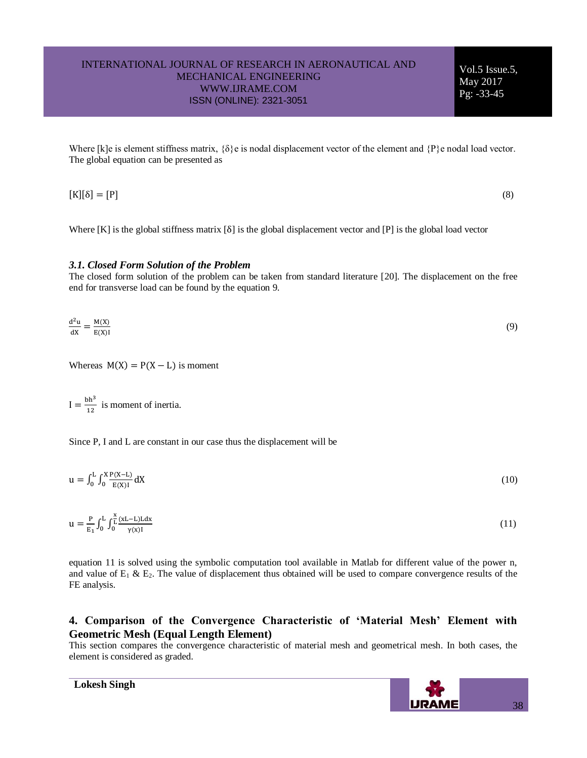Vol.5 Issue.5, May 2017 Pg: -33-45

Where [k]e is element stiffness matrix, {δ}e is nodal displacement vector of the element and {P}e nodal load vector. The global equation can be presented as

 $[K][\delta] = [P]$  (8)

Where  $[K]$  is the global stiffness matrix  $[\delta]$  is the global displacement vector and  $[P]$  is the global load vector

#### *3.1. Closed Form Solution of the Problem*

The closed form solution of the problem can be taken from standard literature [20]. The displacement on the free end for transverse load can be found by the equation 9.

$$
\frac{d^2u}{dx} = \frac{M(X)}{E(X)I} \tag{9}
$$

Whereas  $M(X) = P(X - L)$  is moment

 $I = \frac{bh^3}{40}$  $\frac{\pi}{12}$  is moment of inertia.

Since P, I and L are constant in our case thus the displacement will be

 $u = \int_0^L \int_0^X \frac{P(X-L)}{E(X)}$  $\int_{0}^{\frac{1}{x}} \frac{F(x-y)}{E(x)1} dx$ L  $\bf{0}$ (10)

$$
u = \frac{P}{E_1} \int_0^L \int_0^{\frac{x}{L}} \frac{(xL - L)Ldx}{\gamma(x)I} \tag{11}
$$

equation 11 is solved using the symbolic computation tool available in Matlab for different value of the power n, and value of  $E_1 \& E_2$ . The value of displacement thus obtained will be used to compare convergence results of the FE analysis.

# **4. Comparison of the Convergence Characteristic of 'Material Mesh' Element with Geometric Mesh (Equal Length Element)**

This section compares the convergence characteristic of material mesh and geometrical mesh. In both cases, the element is considered as graded.

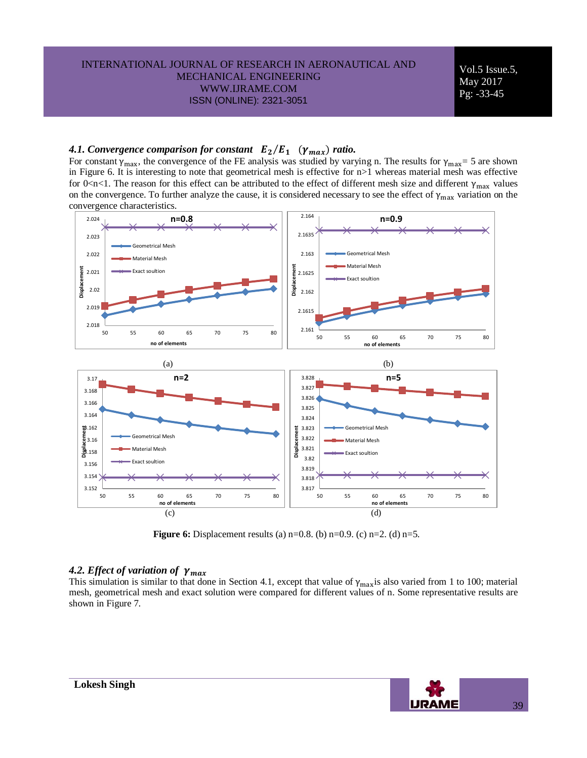Vol.5 Issue.5, May 2017 Pg: -33-45

# 4.1. Convergence comparison for constant  $E_2/E_1$  ( $\gamma_{max}$ ) ratio.

For constant  $\gamma_{\text{max}}$ , the convergence of the FE analysis was studied by varying n. The results for  $\gamma_{\text{max}} = 5$  are shown in Figure 6. It is interesting to note that geometrical mesh is effective for n>1 whereas material mesh was effective for 0<n<1. The reason for this effect can be attributed to the effect of different mesh size and different  $\gamma_{\text{max}}$  values on the convergence. To further analyze the cause, it is considered necessary to see the effect of  $\gamma_{max}$  variation on the convergence characteristics.



**Figure 6:** Displacement results (a) n=0.8. (b) n=0.9. (c) n=2. (d) n=5.

# *4.2. Effect of variation of*

This simulation is similar to that done in Section 4.1, except that value of  $\gamma_{\text{max}}$  is also varied from 1 to 100; material mesh, geometrical mesh and exact solution were compared for different values of n. Some representative results are shown in Figure 7.

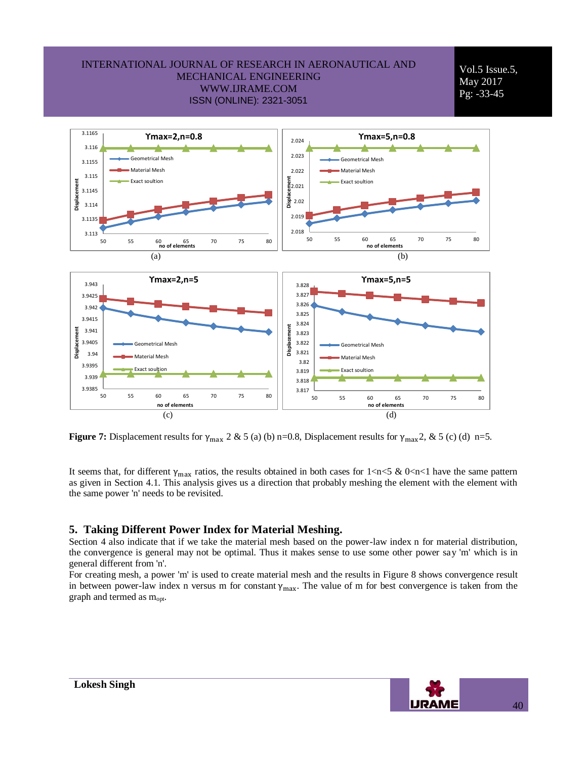Vol.5 Issue.5, May 2017 Pg: -33-45



**Figure 7:** Displacement results for  $\gamma_{\text{max}}$  2 & 5 (a) (b) n=0.8, Displacement results for  $\gamma_{\text{max}}$ 2, & 5 (c) (d) n=5.

It seems that, for different  $\gamma_{max}$  ratios, the results obtained in both cases for  $1 \le n \le 5 \& 0 \le n \le 1$  have the same pattern as given in Section 4.1. This analysis gives us a direction that probably meshing the element with the element with the same power 'n' needs to be revisited.

# **5. Taking Different Power Index for Material Meshing.**

Section 4 also indicate that if we take the material mesh based on the power-law index n for material distribution, the convergence is general may not be optimal. Thus it makes sense to use some other power say 'm' which is in general different from 'n'.

For creating mesh, a power 'm' is used to create material mesh and the results in Figure 8 shows convergence result in between power-law index n versus m for constant  $\gamma_{\text{max}}$ . The value of m for best convergence is taken from the graph and termed as  $m_{opt}$ .

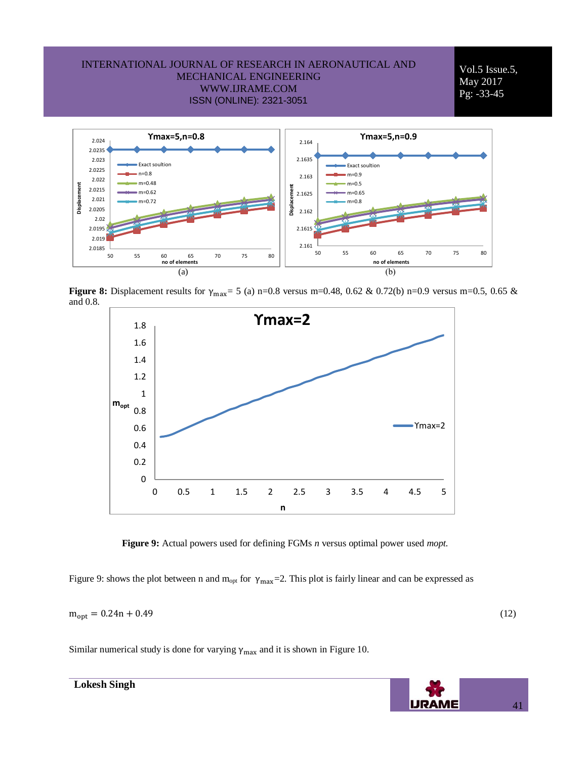Vol.5 Issue.5, May 2017 Pg: -33-45



**Figure 8:** Displacement results for  $\gamma_{\text{max}} = 5$  (a) n=0.8 versus m=0.48, 0.62 & 0.72(b) n=0.9 versus m=0.5, 0.65 & and 0.8.



 **Figure 9:** Actual powers used for defining FGMs *n* versus optimal power used *mopt.*

Figure 9: shows the plot between n and  $m_{opt}$  for  $\gamma_{max}$ =2. This plot is fairly linear and can be expressed as

 $m_{opt} = 0.24n + 0.49$  (12)

Similar numerical study is done for varying  $\gamma_{\text{max}}$  and it is shown in Figure 10.



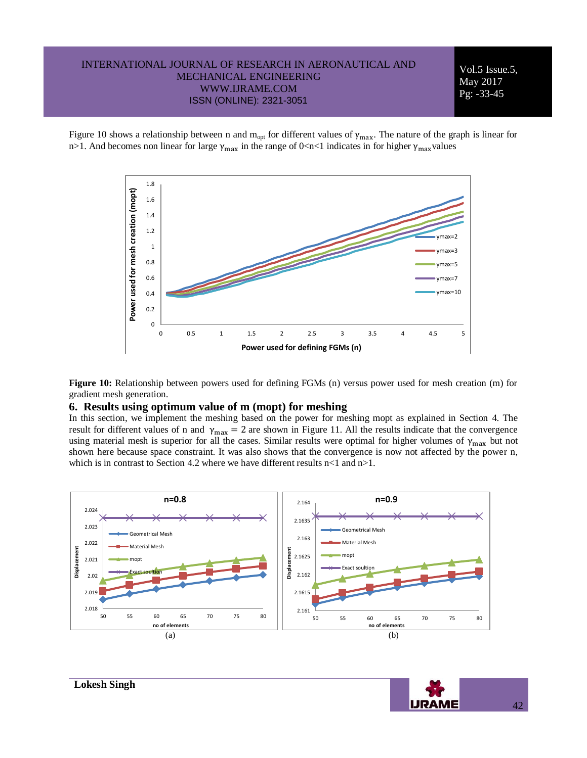Vol.5 Issue.5, May 2017 Pg: -33-45

Figure 10 shows a relationship between n and  $m_{opt}$  for different values of  $\gamma_{max}$ . The nature of the graph is linear for n>1. And becomes non linear for large  $\gamma_{max}$  in the range of 0<n<1 indicates in for higher  $\gamma_{max}$  values



**Figure 10:** Relationship between powers used for defining FGMs (n) versus power used for mesh creation (m) for gradient mesh generation.

#### **6. Results using optimum value of m (mopt) for meshing**

In this section, we implement the meshing based on the power for meshing mopt as explained in Section 4. The result for different values of n and  $\gamma_{\text{max}} = 2$  are shown in Figure 11. All the results indicate that the convergence using material mesh is superior for all the cases. Similar results were optimal for higher volumes of  $\gamma_{max}$  but not shown here because space constraint. It was also shows that the convergence is now not affected by the power n, which is in contrast to Section 4.2 where we have different results  $n < 1$  and  $n > 1$ .

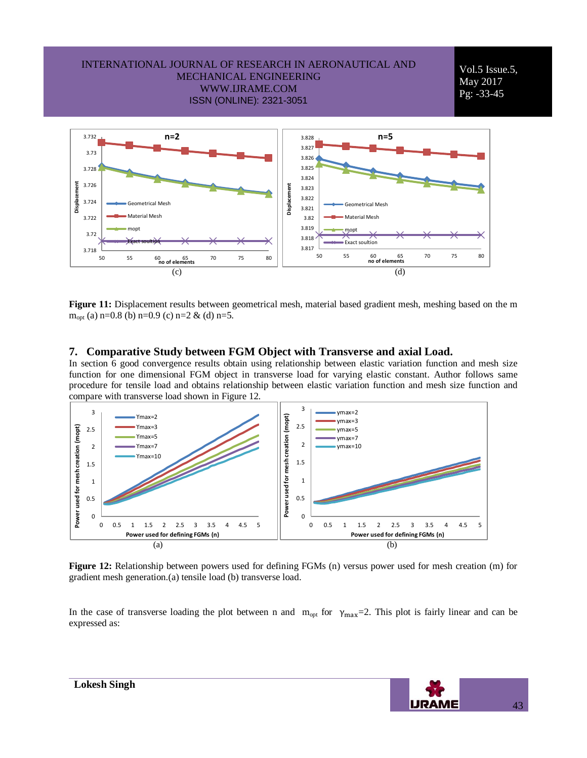

**Figure 11:** Displacement results between geometrical mesh, material based gradient mesh, meshing based on the m  $m_{opt}$  (a) n=0.8 (b) n=0.9 (c) n=2 & (d) n=5.

#### **7. Comparative Study between FGM Object with Transverse and axial Load.**

In section 6 good convergence results obtain using relationship between elastic variation function and mesh size function for one dimensional FGM object in transverse load for varying elastic constant. Author follows same procedure for tensile load and obtains relationship between elastic variation function and mesh size function and compare with transverse load shown in Figure 12.



**Figure 12:** Relationship between powers used for defining FGMs (n) versus power used for mesh creation (m) for gradient mesh generation.(a) tensile load (b) transverse load.

In the case of transverse loading the plot between n and  $m_{opt}$  for  $\gamma_{max}=2$ . This plot is fairly linear and can be expressed as:

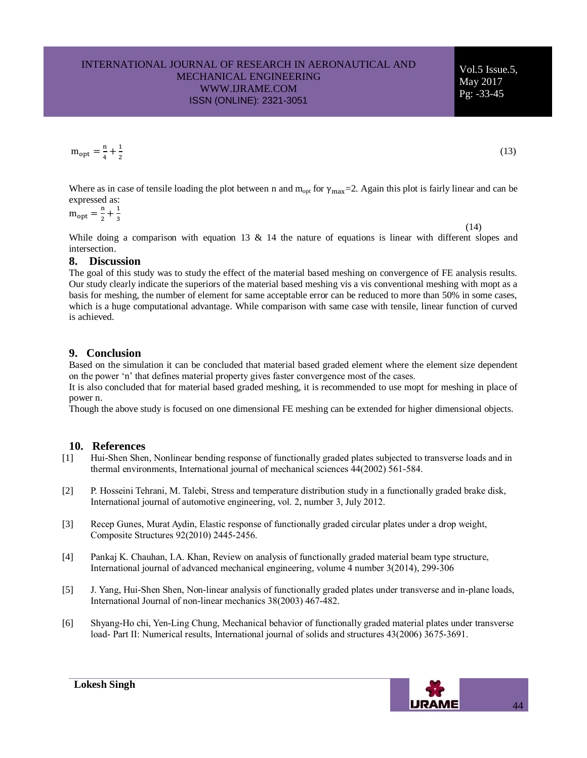$m_{\text{opt}} = \frac{m}{4}$  $\frac{n}{4} + \frac{1}{2}$  $\overline{\mathbf{c}}$ 

Where as in case of tensile loading the plot between n and  $m_{opt}$  for  $\gamma_{max}=2$ . Again this plot is fairly linear and can be expressed as:

$$
m_{opt} = \frac{n}{2} + \frac{1}{3}
$$

While doing a comparison with equation 13  $\&$  14 the nature of equations is linear with different slopes and intersection.

### **8. Discussion**

The goal of this study was to study the effect of the material based meshing on convergence of FE analysis results. Our study clearly indicate the superiors of the material based meshing vis a vis conventional meshing with mopt as a basis for meshing, the number of element for same acceptable error can be reduced to more than 50% in some cases, which is a huge computational advantage. While comparison with same case with tensile, linear function of curved is achieved.

# **9. Conclusion**

Based on the simulation it can be concluded that material based graded element where the element size dependent on the power 'n' that defines material property gives faster convergence most of the cases.

It is also concluded that for material based graded meshing, it is recommended to use mopt for meshing in place of power n.

Though the above study is focused on one dimensional FE meshing can be extended for higher dimensional objects.

# **10. References**

- [1] Hui-Shen Shen, Nonlinear bending response of functionally graded plates subjected to transverse loads and in thermal environments, International journal of mechanical sciences 44(2002) 561-584.
- [2] P. Hosseini Tehrani, M. Talebi, Stress and temperature distribution study in a functionally graded brake disk, International journal of automotive engineering, vol. 2, number 3, July 2012.
- [3] Recep Gunes, Murat Aydin, Elastic response of functionally graded circular plates under a drop weight, Composite Structures 92(2010) 2445-2456.
- [4] Pankaj K. Chauhan, I.A. Khan, Review on analysis of functionally graded material beam type structure, International journal of advanced mechanical engineering, volume 4 number 3(2014), 299-306
- [5] J. Yang, Hui-Shen Shen, Non-linear analysis of functionally graded plates under transverse and in-plane loads, International Journal of non-linear mechanics 38(2003) 467-482.
- [6] Shyang-Ho chi, Yen-Ling Chung, Mechanical behavior of functionally graded material plates under transverse load- Part II: Numerical results, International journal of solids and structures 43(2006) 3675-3691.



(13)

Vol.5 Issue.5, May 2017 Pg: -33-45

(14)